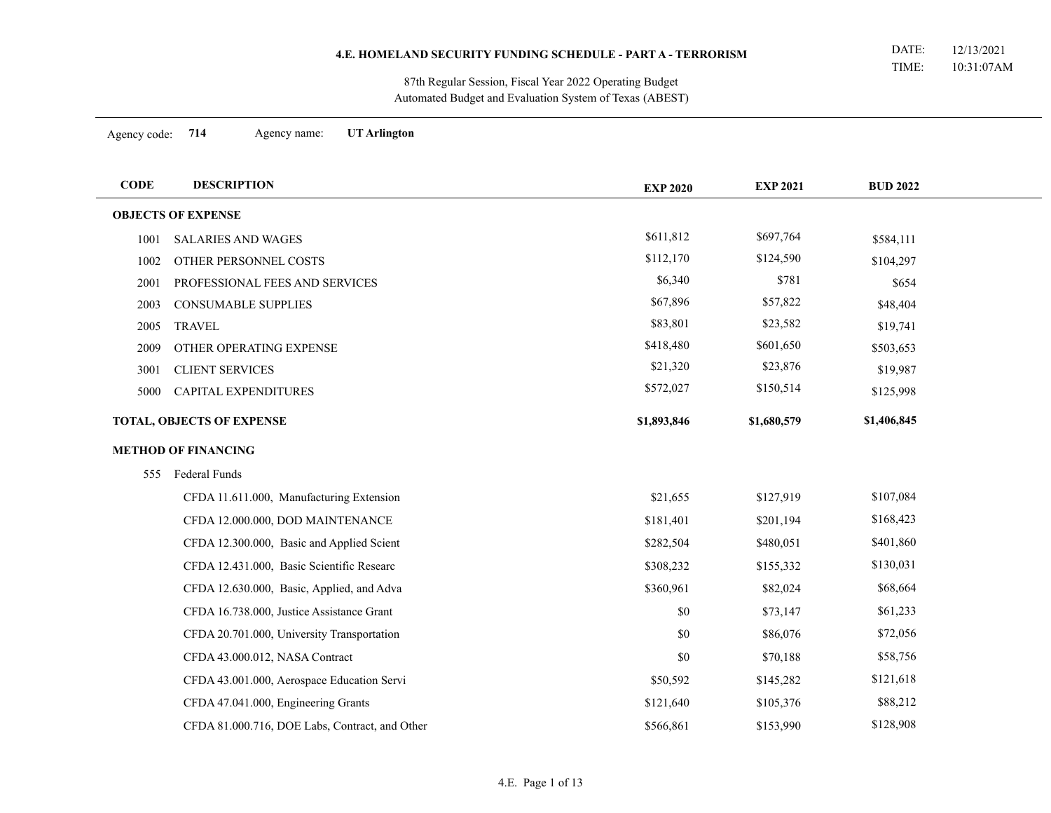Automated Budget and Evaluation System of Texas (ABEST) 87th Regular Session, Fiscal Year 2022 Operating Budget

Agency code: **714** Agency name: **UT Arlington**

÷

| <b>CODE</b> | <b>DESCRIPTION</b>                             | <b>EXP 2020</b> | <b>EXP 2021</b> | <b>BUD 2022</b> |  |
|-------------|------------------------------------------------|-----------------|-----------------|-----------------|--|
|             | <b>OBJECTS OF EXPENSE</b>                      |                 |                 |                 |  |
| 1001        | <b>SALARIES AND WAGES</b>                      | \$611,812       | \$697,764       | \$584,111       |  |
| 1002        | OTHER PERSONNEL COSTS                          | \$112,170       | \$124,590       | \$104,297       |  |
| 2001        | PROFESSIONAL FEES AND SERVICES                 | \$6,340         | \$781           | \$654           |  |
| 2003        | CONSUMABLE SUPPLIES                            | \$67,896        | \$57,822        | \$48,404        |  |
| 2005        | <b>TRAVEL</b>                                  | \$83,801        | \$23,582        | \$19,741        |  |
| 2009        | OTHER OPERATING EXPENSE                        | \$418,480       | \$601,650       | \$503,653       |  |
| 3001        | <b>CLIENT SERVICES</b>                         | \$21,320        | \$23,876        | \$19,987        |  |
| 5000        | CAPITAL EXPENDITURES                           | \$572,027       | \$150,514       | \$125,998       |  |
|             | TOTAL, OBJECTS OF EXPENSE                      | \$1,893,846     | \$1,680,579     | \$1,406,845     |  |
|             | <b>METHOD OF FINANCING</b>                     |                 |                 |                 |  |
| 555         | Federal Funds                                  |                 |                 |                 |  |
|             | CFDA 11.611.000, Manufacturing Extension       | \$21,655        | \$127,919       | \$107,084       |  |
|             | CFDA 12.000.000, DOD MAINTENANCE               | \$181,401       | \$201,194       | \$168,423       |  |
|             | CFDA 12.300.000, Basic and Applied Scient      | \$282,504       | \$480,051       | \$401,860       |  |
|             | CFDA 12.431.000, Basic Scientific Researc      | \$308,232       | \$155,332       | \$130,031       |  |
|             | CFDA 12.630.000, Basic, Applied, and Adva      | \$360,961       | \$82,024        | \$68,664        |  |
|             | CFDA 16.738.000, Justice Assistance Grant      | \$0             | \$73,147        | \$61,233        |  |
|             | CFDA 20.701.000, University Transportation     | $\$0$           | \$86,076        | \$72,056        |  |
|             | CFDA 43.000.012, NASA Contract                 | \$0             | \$70,188        | \$58,756        |  |
|             | CFDA 43.001.000, Aerospace Education Servi     | \$50,592        | \$145,282       | \$121,618       |  |
|             | CFDA 47.041.000, Engineering Grants            | \$121,640       | \$105,376       | \$88,212        |  |
|             | CFDA 81.000.716, DOE Labs, Contract, and Other | \$566,861       | \$153,990       | \$128,908       |  |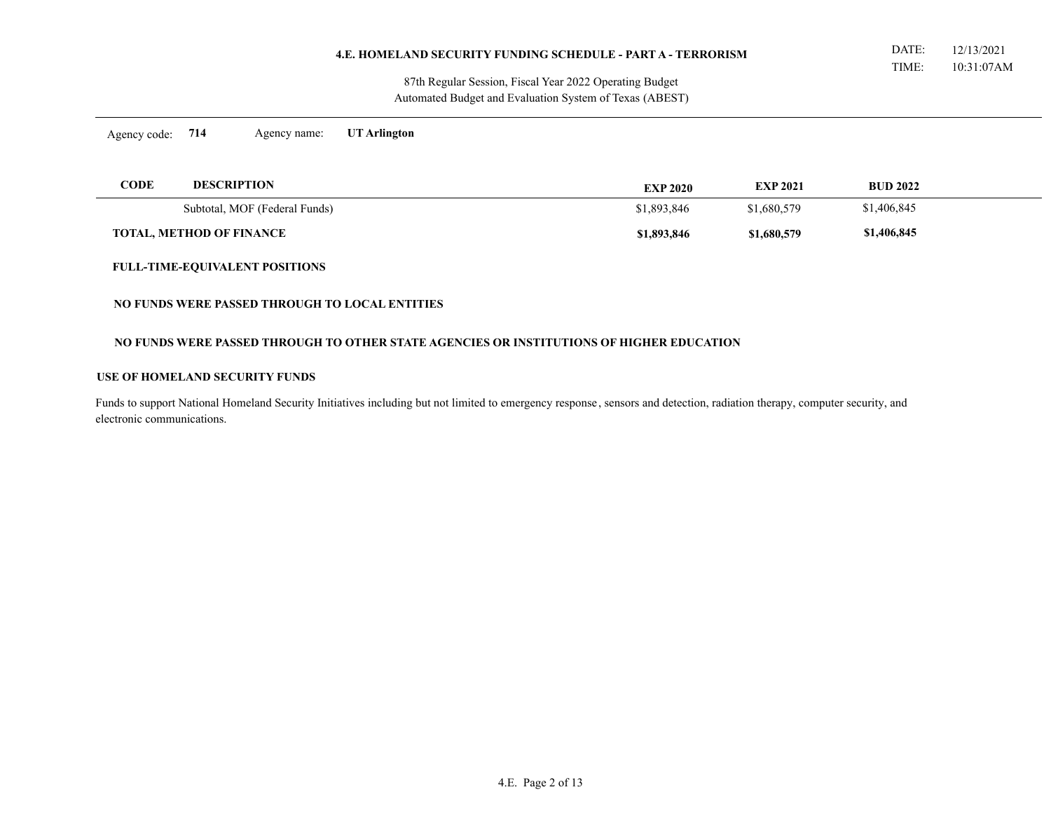Automated Budget and Evaluation System of Texas (ABEST) 87th Regular Session, Fiscal Year 2022 Operating Budget

Agency code: **714** Agency name: **UT Arlington**

| CODE<br><b>DESCRIPTION</b>      | <b>EXP 2020</b> | <b>EXP 2021</b> | <b>BUD 2022</b> |  |
|---------------------------------|-----------------|-----------------|-----------------|--|
| Subtotal, MOF (Federal Funds)   | \$1,893,846     | \$1,680,579     | \$1,406,845     |  |
| <b>TOTAL, METHOD OF FINANCE</b> | \$1,893,846     | \$1,680,579     | \$1,406,845     |  |

#### **FULL-TIME-EQUIVALENT POSITIONS**

#### **NO FUNDS WERE PASSED THROUGH TO LOCAL ENTITIES**

# **NO FUNDS WERE PASSED THROUGH TO OTHER STATE AGENCIES OR INSTITUTIONS OF HIGHER EDUCATION**

#### **USE OF HOMELAND SECURITY FUNDS**

Funds to support National Homeland Security Initiatives including but not limited to emergency response , sensors and detection, radiation therapy, computer security, and electronic communications.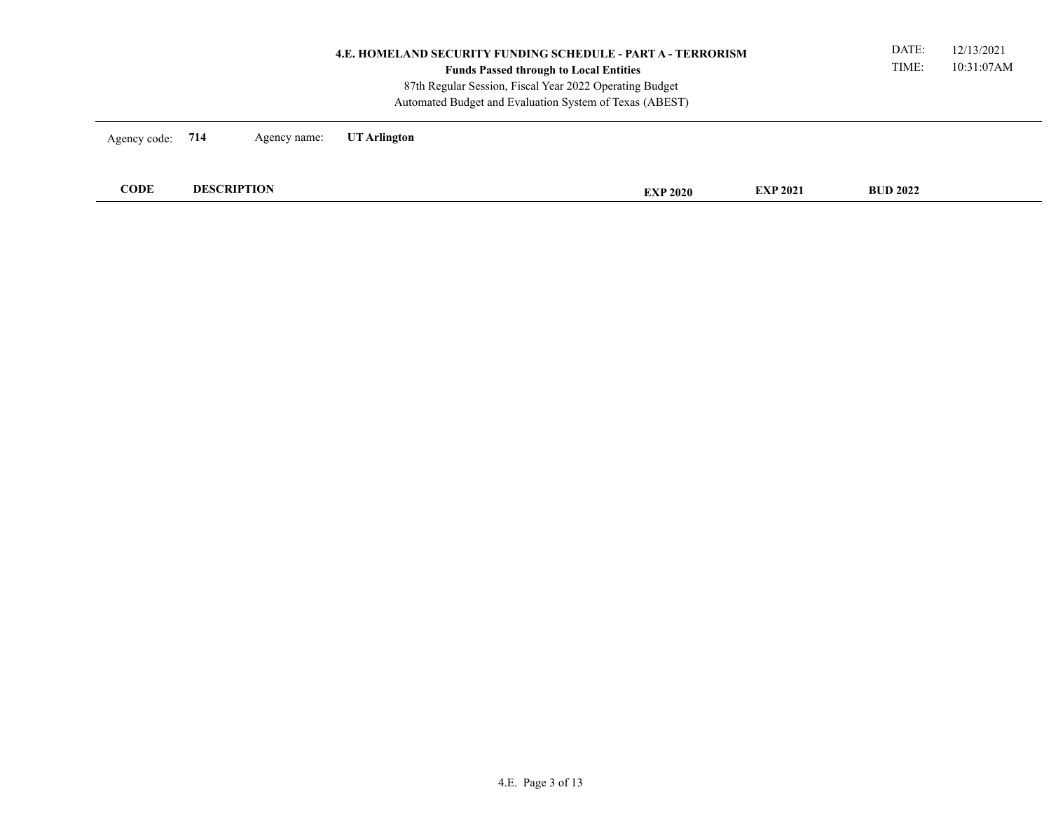| <b>4.E. HOMELAND SECURITY FUNDING SCHEDULE - PART A - TERRORISM</b><br><b>Funds Passed through to Local Entities</b><br>87th Regular Session, Fiscal Year 2022 Operating Budget<br>Automated Budget and Evaluation System of Texas (ABEST) |  |              |                 |                 |                 |  | 12/13/2021<br>10:31:07AM |
|--------------------------------------------------------------------------------------------------------------------------------------------------------------------------------------------------------------------------------------------|--|--------------|-----------------|-----------------|-----------------|--|--------------------------|
| Agency code: 714                                                                                                                                                                                                                           |  | Agency name: | UT Arlington    |                 |                 |  |                          |
| <b>CODE</b><br><b>DESCRIPTION</b>                                                                                                                                                                                                          |  |              | <b>EXP 2020</b> | <b>EXP 2021</b> | <b>BUD 2022</b> |  |                          |
|                                                                                                                                                                                                                                            |  |              |                 |                 |                 |  |                          |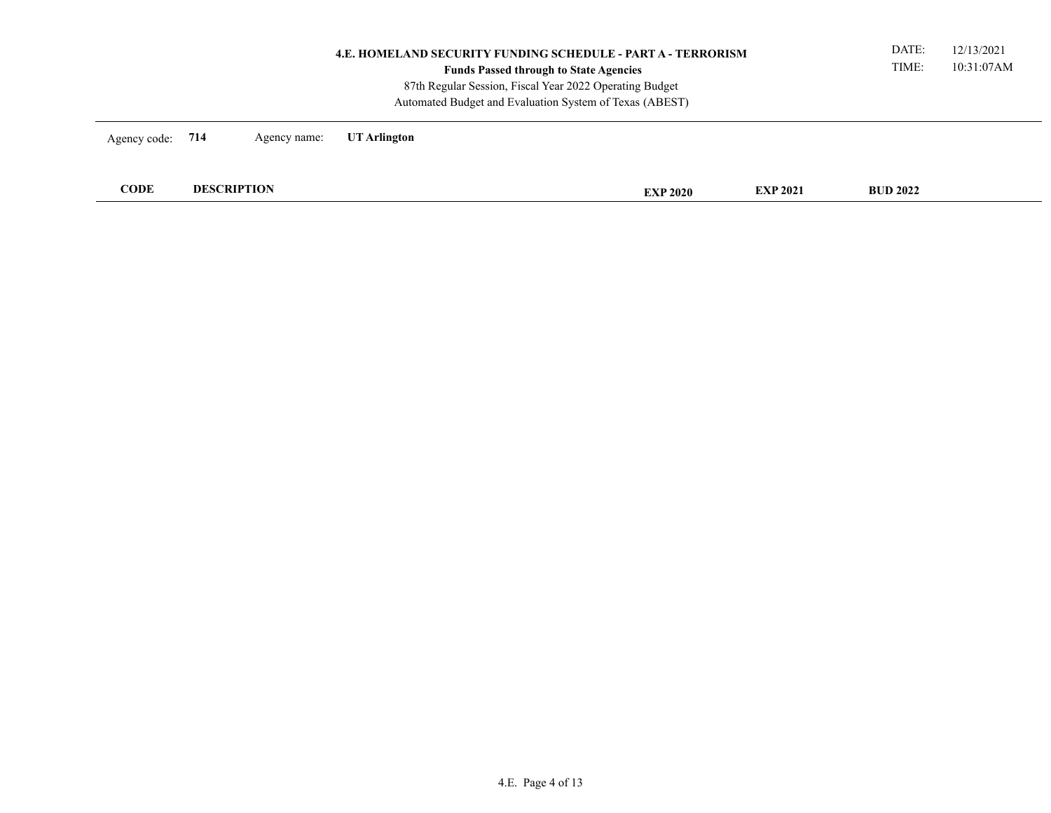| UT Arlington<br>Agency code: 714<br>Agency name:<br><b>CODE</b><br><b>DESCRIPTION</b><br><b>BUD 2022</b><br><b>EXP 2021</b><br><b>EXP 2020</b> | <b>4.E. HOMELAND SECURITY FUNDING SCHEDULE - PART A - TERRORISM</b><br><b>Funds Passed through to State Agencies</b><br>87th Regular Session, Fiscal Year 2022 Operating Budget<br>Automated Budget and Evaluation System of Texas (ABEST) |  |  |  |  |  |  | DATE:<br>TIME: | 12/13/2021<br>10:31:07AM |
|------------------------------------------------------------------------------------------------------------------------------------------------|--------------------------------------------------------------------------------------------------------------------------------------------------------------------------------------------------------------------------------------------|--|--|--|--|--|--|----------------|--------------------------|
|                                                                                                                                                |                                                                                                                                                                                                                                            |  |  |  |  |  |  |                |                          |
|                                                                                                                                                |                                                                                                                                                                                                                                            |  |  |  |  |  |  |                |                          |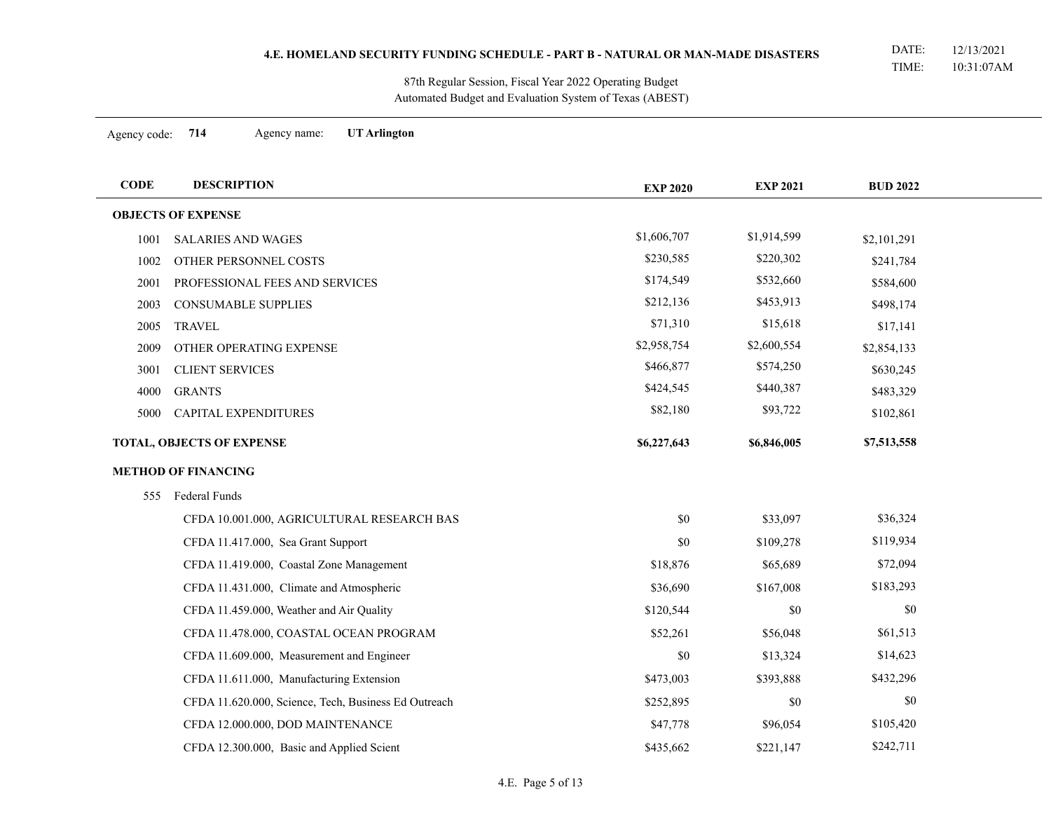Automated Budget and Evaluation System of Texas (ABEST) 87th Regular Session, Fiscal Year 2022 Operating Budget

Agency code: **714** Agency name: **UT Arlington**

| <b>CODE</b> | <b>DESCRIPTION</b>                                   | <b>EXP 2020</b> | <b>EXP 2021</b> | <b>BUD 2022</b> |  |
|-------------|------------------------------------------------------|-----------------|-----------------|-----------------|--|
|             | <b>OBJECTS OF EXPENSE</b>                            |                 |                 |                 |  |
| 1001        | <b>SALARIES AND WAGES</b>                            | \$1,606,707     | \$1,914,599     | \$2,101,291     |  |
| 1002        | OTHER PERSONNEL COSTS                                | \$230,585       | \$220,302       | \$241,784       |  |
| 2001        | PROFESSIONAL FEES AND SERVICES                       | \$174,549       | \$532,660       | \$584,600       |  |
| 2003        | CONSUMABLE SUPPLIES                                  | \$212,136       | \$453,913       | \$498,174       |  |
| 2005        | <b>TRAVEL</b>                                        | \$71,310        | \$15,618        | \$17,141        |  |
| 2009        | OTHER OPERATING EXPENSE                              | \$2,958,754     | \$2,600,554     | \$2,854,133     |  |
| 3001        | <b>CLIENT SERVICES</b>                               | \$466,877       | \$574,250       | \$630,245       |  |
| 4000        | <b>GRANTS</b>                                        | \$424,545       | \$440,387       | \$483,329       |  |
| 5000        | CAPITAL EXPENDITURES                                 | \$82,180        | \$93,722        | \$102,861       |  |
|             | TOTAL, OBJECTS OF EXPENSE                            | \$6,227,643     | \$6,846,005     | \$7,513,558     |  |
|             | <b>METHOD OF FINANCING</b>                           |                 |                 |                 |  |
|             | 555 Federal Funds                                    |                 |                 |                 |  |
|             | CFDA 10.001.000, AGRICULTURAL RESEARCH BAS           | \$0             | \$33,097        | \$36,324        |  |
|             | CFDA 11.417.000, Sea Grant Support                   | \$0             | \$109,278       | \$119,934       |  |
|             | CFDA 11.419.000, Coastal Zone Management             | \$18,876        | \$65,689        | \$72,094        |  |
|             | CFDA 11.431.000, Climate and Atmospheric             | \$36,690        | \$167,008       | \$183,293       |  |
|             | CFDA 11.459.000, Weather and Air Quality             | \$120,544       | \$0             | \$0             |  |
|             | CFDA 11.478.000, COASTAL OCEAN PROGRAM               | \$52,261        | \$56,048        | \$61,513        |  |
|             | CFDA 11.609.000, Measurement and Engineer            | \$0             | \$13,324        | \$14,623        |  |
|             | CFDA 11.611.000, Manufacturing Extension             | \$473,003       | \$393,888       | \$432,296       |  |
|             | CFDA 11.620.000, Science, Tech, Business Ed Outreach | \$252,895       | \$0             | \$0             |  |
|             | CFDA 12.000.000, DOD MAINTENANCE                     | \$47,778        | \$96,054        | \$105,420       |  |
|             | CFDA 12.300.000, Basic and Applied Scient            | \$435,662       | \$221,147       | \$242,711       |  |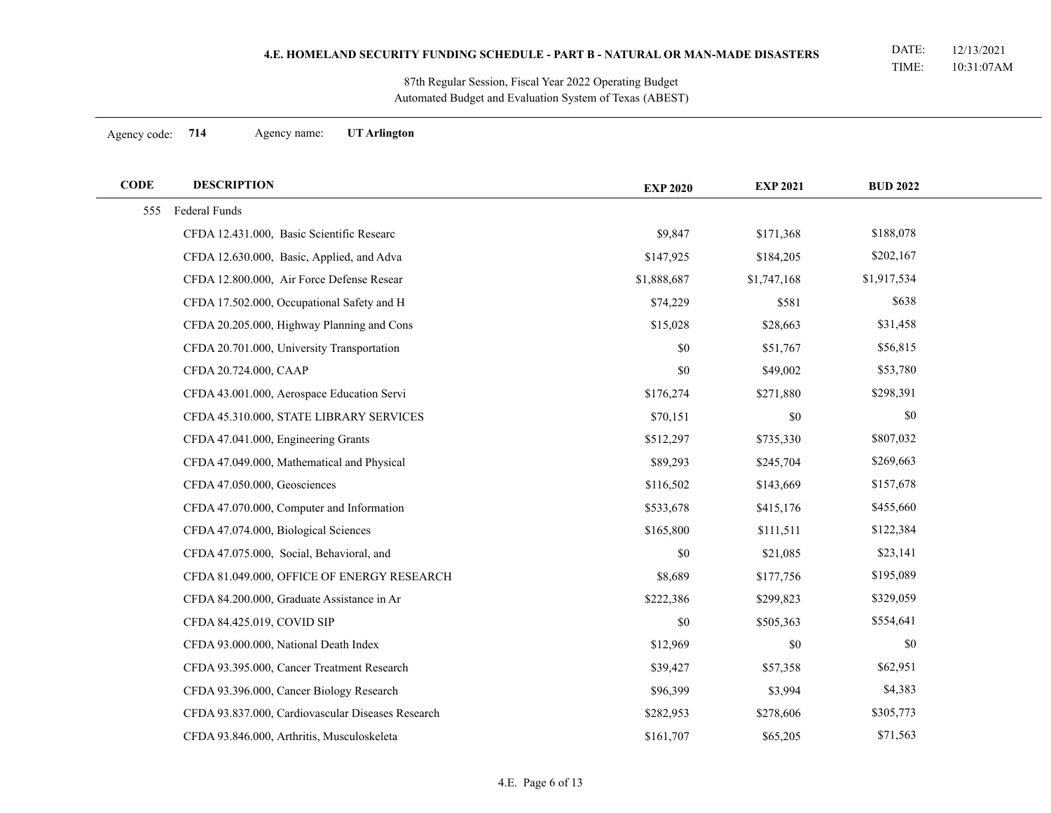Automated Budget and Evaluation System of Texas (ABEST) 87th Regular Session, Fiscal Year 2022 Operating Budget

Agency code: **714** Agency name: **UT Arlington**

 $\overline{\phantom{a}}$ 

| <b>CODE</b> | <b>DESCRIPTION</b>                                | <b>EXP 2020</b> | <b>EXP 2021</b> | <b>BUD 2022</b> |  |
|-------------|---------------------------------------------------|-----------------|-----------------|-----------------|--|
| 555         | <b>Federal Funds</b>                              |                 |                 |                 |  |
|             | CFDA 12.431.000, Basic Scientific Researc         | \$9,847         | \$171,368       | \$188,078       |  |
|             | CFDA 12.630.000, Basic, Applied, and Adva         | \$147,925       | \$184,205       | \$202,167       |  |
|             | CFDA 12.800.000, Air Force Defense Resear         | \$1,888,687     | \$1,747,168     | \$1,917,534     |  |
|             | CFDA 17.502.000, Occupational Safety and H        | \$74,229        | \$581           | \$638           |  |
|             | CFDA 20.205.000, Highway Planning and Cons        | \$15,028        | \$28,663        | \$31,458        |  |
|             | CFDA 20.701.000, University Transportation        | \$0             | \$51,767        | \$56,815        |  |
|             | CFDA 20.724.000, CAAP                             | \$0             | \$49,002        | \$53,780        |  |
|             | CFDA 43.001.000, Aerospace Education Servi        | \$176,274       | \$271,880       | \$298,391       |  |
|             | CFDA 45.310.000, STATE LIBRARY SERVICES           | \$70,151        | $\$0$           | \$0             |  |
|             | CFDA 47.041.000, Engineering Grants               | \$512,297       | \$735,330       | \$807,032       |  |
|             | CFDA 47.049.000, Mathematical and Physical        | \$89,293        | \$245,704       | \$269,663       |  |
|             | CFDA 47.050.000, Geosciences                      | \$116,502       | \$143,669       | \$157,678       |  |
|             | CFDA 47.070.000, Computer and Information         | \$533,678       | \$415,176       | \$455,660       |  |
|             | CFDA 47.074.000, Biological Sciences              | \$165,800       | \$111,511       | \$122,384       |  |
|             | CFDA 47.075.000, Social, Behavioral, and          | $\$0$           | \$21,085        | \$23,141        |  |
|             | CFDA 81.049.000, OFFICE OF ENERGY RESEARCH        | \$8,689         | \$177,756       | \$195,089       |  |
|             | CFDA 84.200.000, Graduate Assistance in Ar        | \$222,386       | \$299,823       | \$329,059       |  |
|             | CFDA 84.425.019, COVID SIP                        | \$0             | \$505,363       | \$554,641       |  |
|             | CFDA 93.000.000, National Death Index             | \$12,969        | \$0             | \$0             |  |
|             | CFDA 93.395.000, Cancer Treatment Research        | \$39,427        | \$57,358        | \$62,951        |  |
|             | CFDA 93.396.000, Cancer Biology Research          | \$96,399        | \$3,994         | \$4,383         |  |
|             | CFDA 93.837.000, Cardiovascular Diseases Research | \$282,953       | \$278,606       | \$305,773       |  |
|             | CFDA 93.846.000, Arthritis, Musculoskeleta        | \$161,707       | \$65,205        | \$71,563        |  |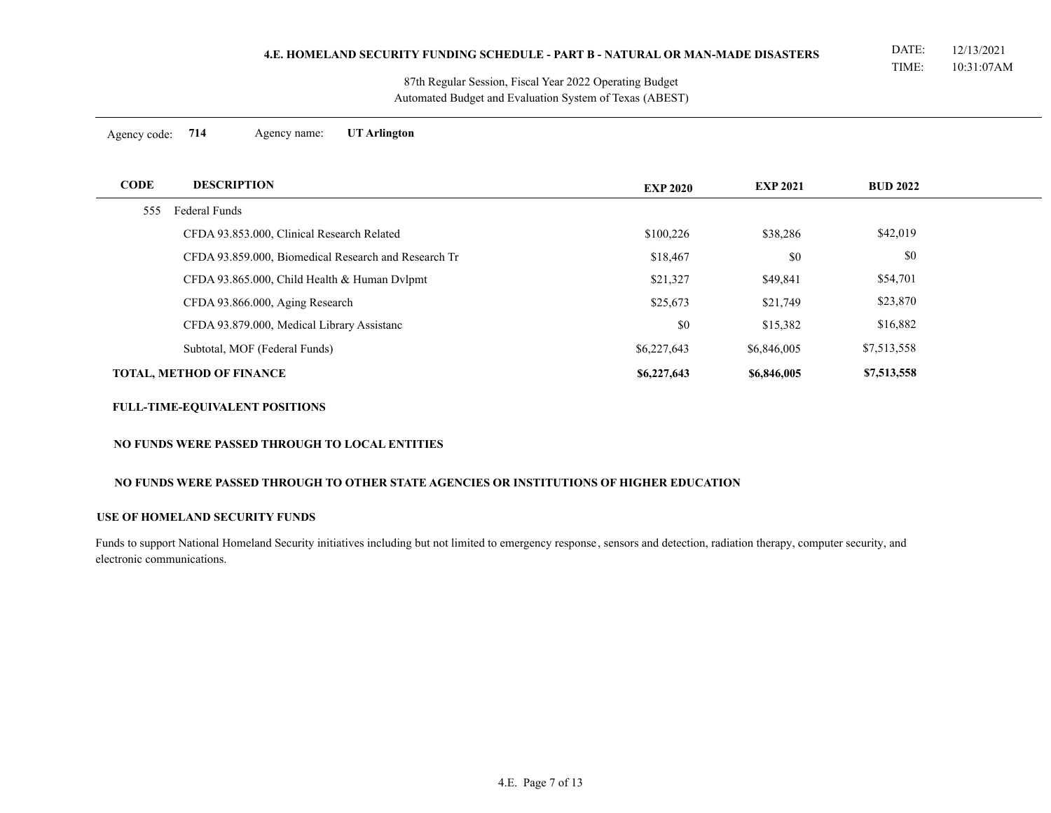Automated Budget and Evaluation System of Texas (ABEST) 87th Regular Session, Fiscal Year 2022 Operating Budget

Agency code: **714** Agency name: **UT Arlington**

| <b>CODE</b> | <b>DESCRIPTION</b>                                   | <b>EXP 2020</b> | <b>EXP 2021</b> | <b>BUD 2022</b> |  |
|-------------|------------------------------------------------------|-----------------|-----------------|-----------------|--|
| 555         | Federal Funds                                        |                 |                 |                 |  |
|             | CFDA 93.853.000, Clinical Research Related           | \$100,226       | \$38,286        | \$42,019        |  |
|             | CFDA 93.859.000, Biomedical Research and Research Tr | \$18,467        | \$0             | \$0             |  |
|             | CFDA 93.865.000, Child Health & Human Dvlpmt         | \$21,327        | \$49,841        | \$54,701        |  |
|             | CFDA 93.866.000, Aging Research                      | \$25,673        | \$21,749        | \$23,870        |  |
|             | CFDA 93.879.000, Medical Library Assistanc           | \$0             | \$15,382        | \$16,882        |  |
|             | Subtotal, MOF (Federal Funds)                        | \$6,227,643     | \$6,846,005     | \$7,513,558     |  |
|             | <b>TOTAL, METHOD OF FINANCE</b>                      | \$6,227,643     | \$6,846,005     | \$7,513,558     |  |

# **FULL-TIME-EQUIVALENT POSITIONS**

# **NO FUNDS WERE PASSED THROUGH TO LOCAL ENTITIES**

# **NO FUNDS WERE PASSED THROUGH TO OTHER STATE AGENCIES OR INSTITUTIONS OF HIGHER EDUCATION**

### **USE OF HOMELAND SECURITY FUNDS**

Funds to support National Homeland Security initiatives including but not limited to emergency response , sensors and detection, radiation therapy, computer security, and electronic communications.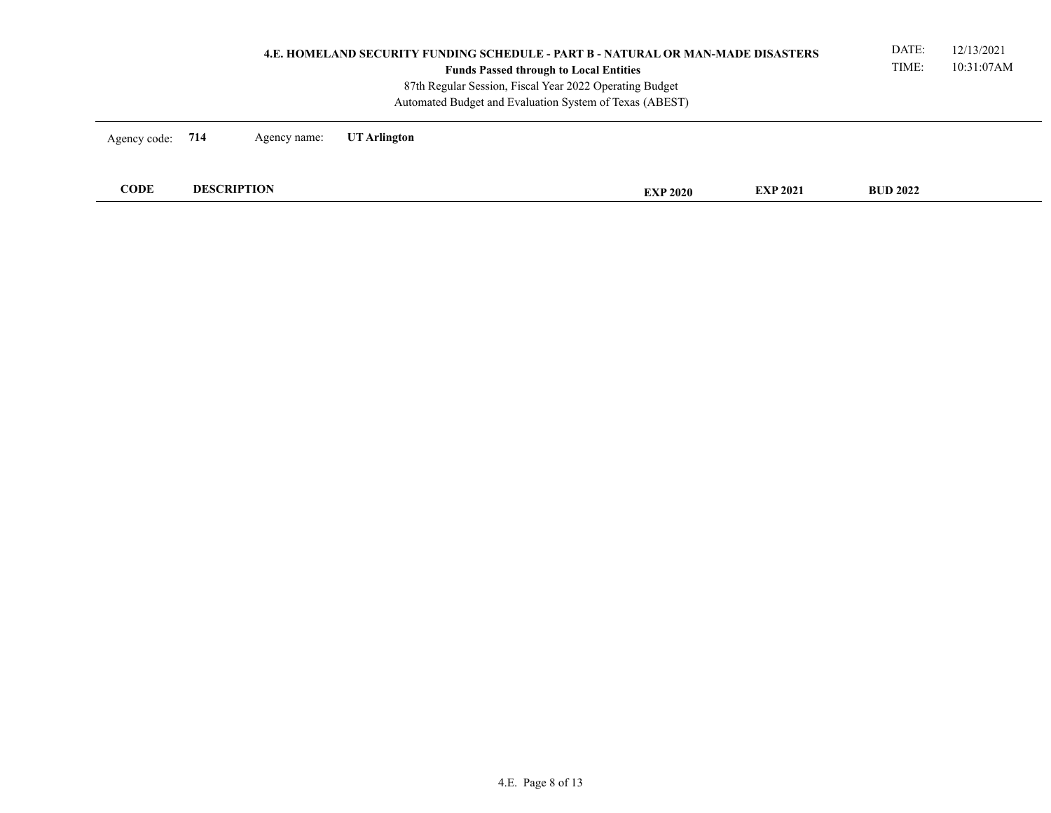| 4.E. HOMELAND SECURITY FUNDING SCHEDULE - PART B - NATURAL OR MAN-MADE DISASTERS<br><b>Funds Passed through to Local Entities</b><br>87th Regular Session, Fiscal Year 2022 Operating Budget<br>Automated Budget and Evaluation System of Texas (ABEST) |                    |              |              |  |                 |                 |                 | 12/13/2021<br>10:31:07AM |
|---------------------------------------------------------------------------------------------------------------------------------------------------------------------------------------------------------------------------------------------------------|--------------------|--------------|--------------|--|-----------------|-----------------|-----------------|--------------------------|
| Agency code: 714                                                                                                                                                                                                                                        |                    | Agency name: | UT Arlington |  |                 |                 |                 |                          |
| <b>CODE</b>                                                                                                                                                                                                                                             | <b>DESCRIPTION</b> |              |              |  | <b>EXP 2020</b> | <b>EXP 2021</b> | <b>BUD 2022</b> |                          |
|                                                                                                                                                                                                                                                         |                    |              |              |  |                 |                 |                 |                          |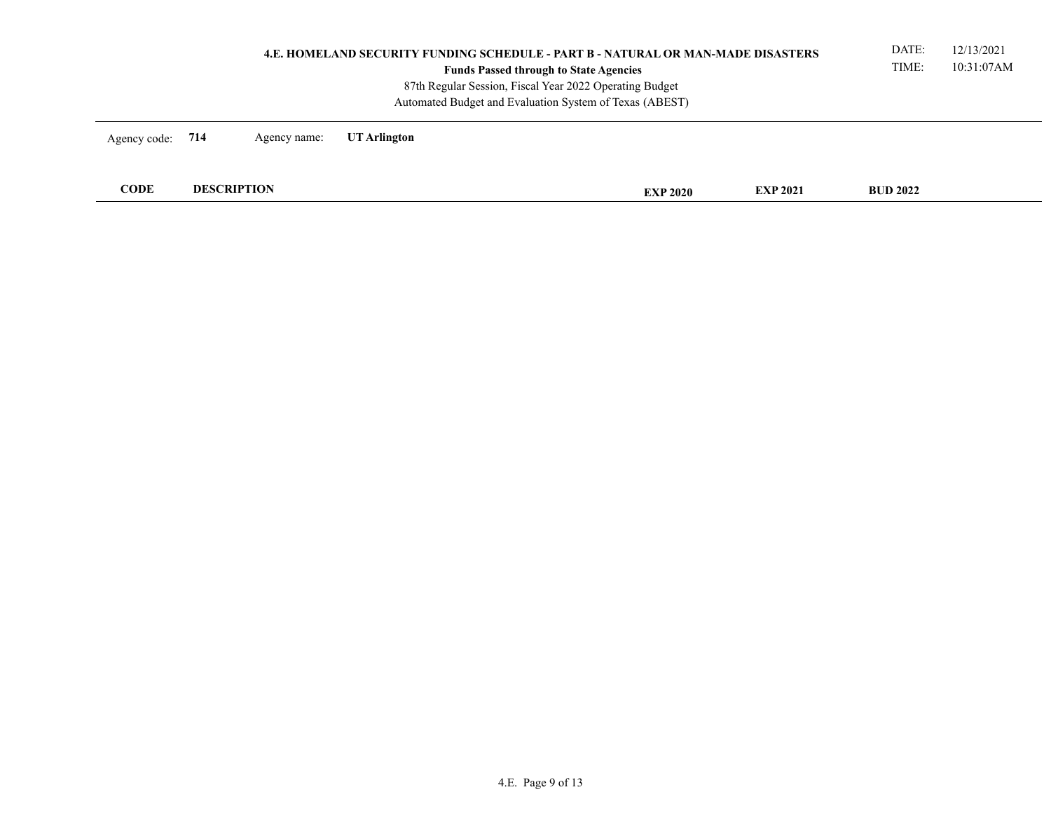| 4.E. HOMELAND SECURITY FUNDING SCHEDULE - PART B - NATURAL OR MAN-MADE DISASTERS<br><b>Funds Passed through to State Agencies</b><br>87th Regular Session, Fiscal Year 2022 Operating Budget<br>Automated Budget and Evaluation System of Texas (ABEST) |                    |              |              |  |                 |                 | DATE:<br>TIME:  | 12/13/2021<br>10:31:07AM |
|---------------------------------------------------------------------------------------------------------------------------------------------------------------------------------------------------------------------------------------------------------|--------------------|--------------|--------------|--|-----------------|-----------------|-----------------|--------------------------|
| Agency code: 714                                                                                                                                                                                                                                        |                    | Agency name: | UT Arlington |  |                 |                 |                 |                          |
| <b>CODE</b>                                                                                                                                                                                                                                             | <b>DESCRIPTION</b> |              |              |  | <b>EXP 2020</b> | <b>EXP 2021</b> | <b>BUD 2022</b> |                          |
|                                                                                                                                                                                                                                                         |                    |              |              |  |                 |                 |                 |                          |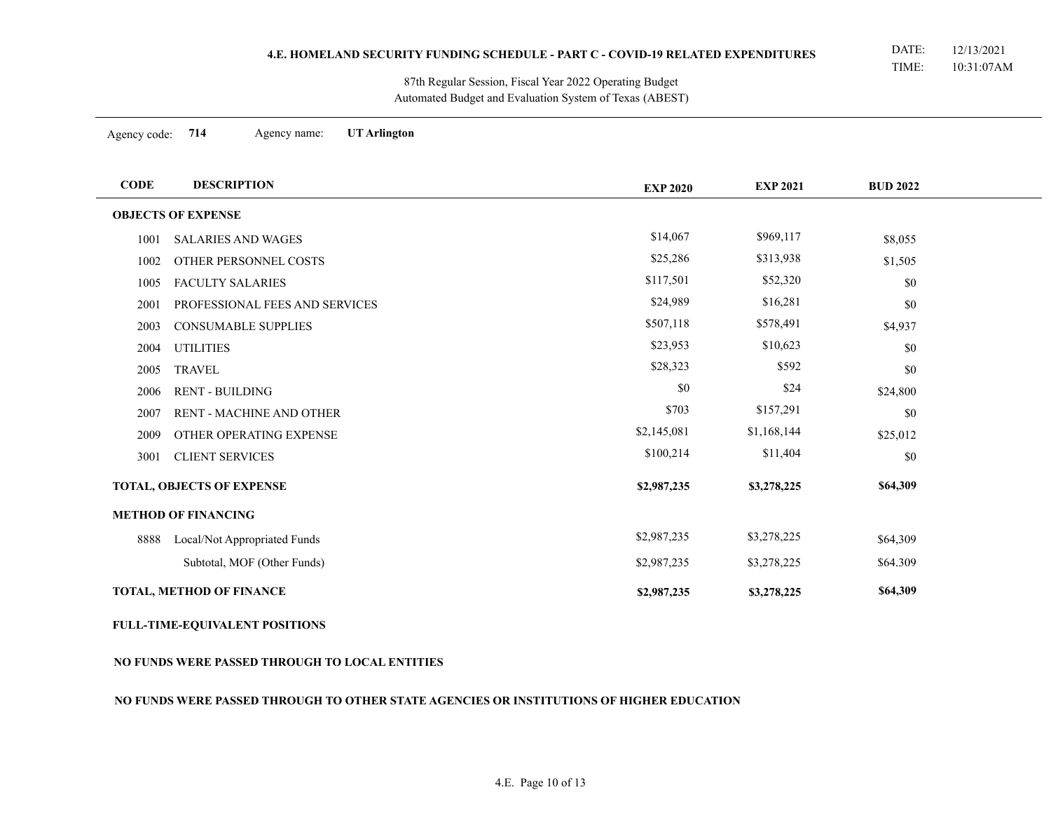Automated Budget and Evaluation System of Texas (ABEST) 87th Regular Session, Fiscal Year 2022 Operating Budget

Agency code: **714** Agency name: **UT Arlington**

÷

| <b>CODE</b> | <b>DESCRIPTION</b>              | <b>EXP 2020</b> | <b>EXP 2021</b> | <b>BUD 2022</b> |
|-------------|---------------------------------|-----------------|-----------------|-----------------|
|             | <b>OBJECTS OF EXPENSE</b>       |                 |                 |                 |
| 1001        | <b>SALARIES AND WAGES</b>       | \$14,067        | \$969,117       | \$8,055         |
| 1002        | OTHER PERSONNEL COSTS           | \$25,286        | \$313,938       | \$1,505         |
| 1005        | <b>FACULTY SALARIES</b>         | \$117,501       | \$52,320        | \$0             |
| 2001        | PROFESSIONAL FEES AND SERVICES  | \$24,989        | \$16,281        | \$0             |
| 2003        | <b>CONSUMABLE SUPPLIES</b>      | \$507,118       | \$578,491       | \$4,937         |
| 2004        | <b>UTILITIES</b>                | \$23,953        | \$10,623        | \$0             |
| 2005        | <b>TRAVEL</b>                   | \$28,323        | \$592           | \$0             |
| 2006        | <b>RENT - BUILDING</b>          | \$0             | \$24            | \$24,800        |
| 2007        | <b>RENT - MACHINE AND OTHER</b> | \$703           | \$157,291       | \$0             |
| 2009        | OTHER OPERATING EXPENSE         | \$2,145,081     | \$1,168,144     | \$25,012        |
| 3001        | <b>CLIENT SERVICES</b>          | \$100,214       | \$11,404        | \$0             |
|             | TOTAL, OBJECTS OF EXPENSE       | \$2,987,235     | \$3,278,225     | \$64,309        |
|             | <b>METHOD OF FINANCING</b>      |                 |                 |                 |
| 8888        | Local/Not Appropriated Funds    | \$2,987,235     | \$3,278,225     | \$64,309        |
|             | Subtotal, MOF (Other Funds)     | \$2,987,235     | \$3,278,225     | \$64.309        |
|             | TOTAL, METHOD OF FINANCE        | \$2,987,235     | \$3,278,225     | \$64,309        |

# **FULL-TIME-EQUIVALENT POSITIONS**

### **NO FUNDS WERE PASSED THROUGH TO LOCAL ENTITIES**

### **NO FUNDS WERE PASSED THROUGH TO OTHER STATE AGENCIES OR INSTITUTIONS OF HIGHER EDUCATION**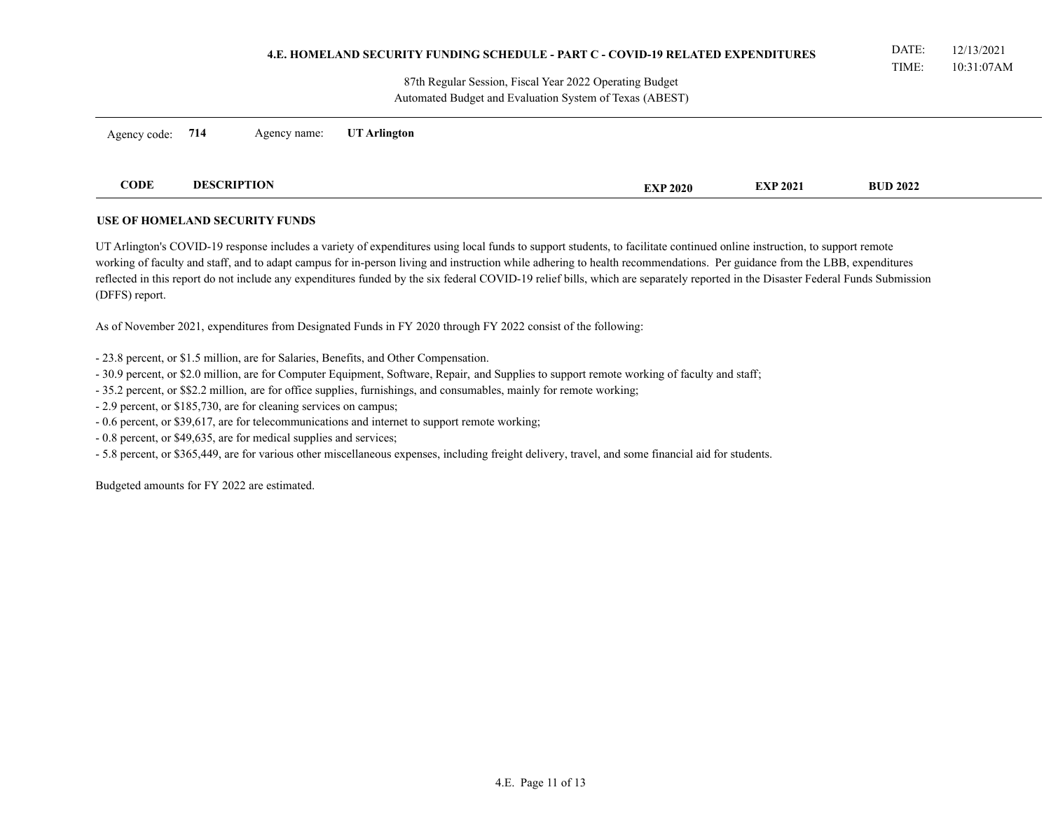|                                                                                                                    | <b>4.E. HOMELAND SECURITY FUNDING SCHEDULE - PART C - COVID-19 RELATED EXPENDITURES</b> |              |              |  |                 |                 | DATE:<br>TIME:  | 12/13/2021<br>10:31:07AM |
|--------------------------------------------------------------------------------------------------------------------|-----------------------------------------------------------------------------------------|--------------|--------------|--|-----------------|-----------------|-----------------|--------------------------|
| 87th Regular Session, Fiscal Year 2022 Operating Budget<br>Automated Budget and Evaluation System of Texas (ABEST) |                                                                                         |              |              |  |                 |                 |                 |                          |
| Agency code:                                                                                                       | 714                                                                                     | Agency name: | UT Arlington |  |                 |                 |                 |                          |
| <b>CODE</b>                                                                                                        | <b>DESCRIPTION</b>                                                                      |              |              |  | <b>EXP 2020</b> | <b>EXP 2021</b> | <b>BUD 2022</b> |                          |

# **USE OF HOMELAND SECURITY FUNDS**

UT Arlington's COVID-19 response includes a variety of expenditures using local funds to support students, to facilitate continued online instruction, to support remote working of faculty and staff, and to adapt campus for in-person living and instruction while adhering to health recommendations. Per guidance from the LBB, expenditures reflected in this report do not include any expenditures funded by the six federal COVID-19 relief bills, which are separately reported in the Disaster Federal Funds Submission (DFFS) report.

As of November 2021, expenditures from Designated Funds in FY 2020 through FY 2022 consist of the following:

- 23.8 percent, or \$1.5 million, are for Salaries, Benefits, and Other Compensation.
- 30.9 percent, or \$2.0 million, are for Computer Equipment, Software, Repair, and Supplies to support remote working of faculty and staff;
- 35.2 percent, or \$\$2.2 million, are for office supplies, furnishings, and consumables, mainly for remote working;
- 2.9 percent, or \$185,730, are for cleaning services on campus;
- 0.6 percent, or \$39,617, are for telecommunications and internet to support remote working;
- 0.8 percent, or \$49,635, are for medical supplies and services;
- 5.8 percent, or \$365,449, are for various other miscellaneous expenses, including freight delivery, travel, and some financial aid for students.

Budgeted amounts for FY 2022 are estimated.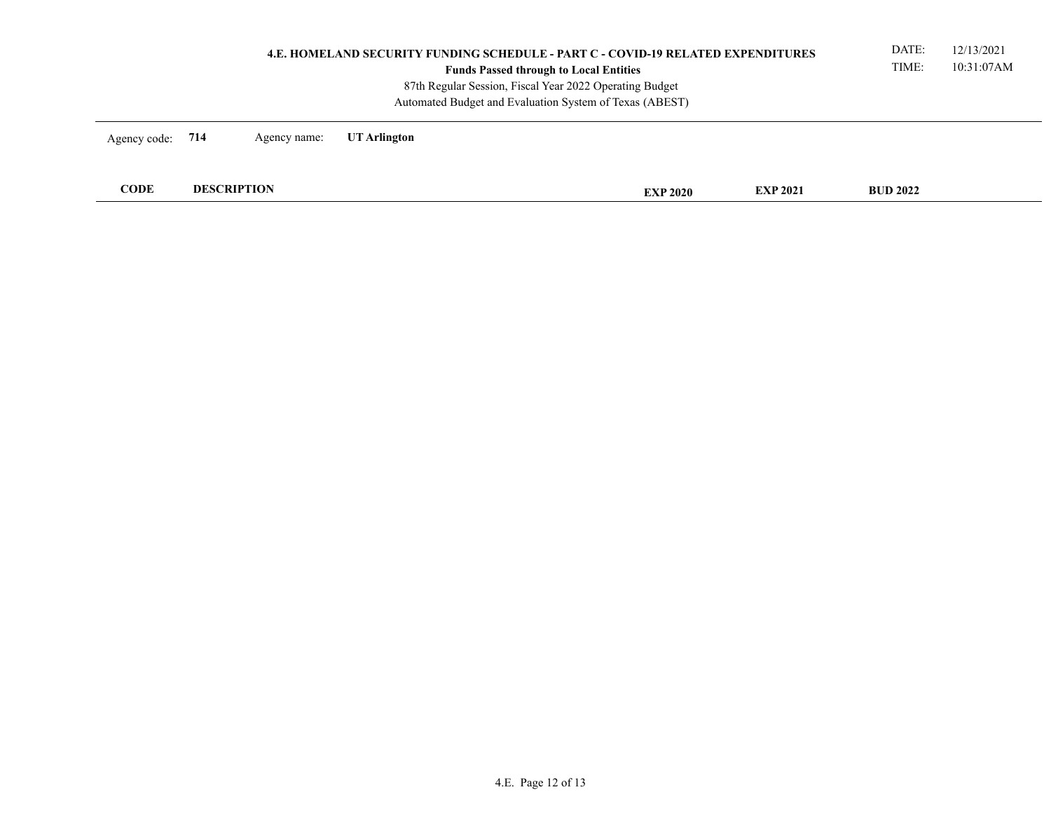| <b>4.E. HOMELAND SECURITY FUNDING SCHEDULE - PART C - COVID-19 RELATED EXPENDITURES</b><br><b>Funds Passed through to Local Entities</b><br>87th Regular Session, Fiscal Year 2022 Operating Budget<br>Automated Budget and Evaluation System of Texas (ABEST) |                    |              |              |  |                 |                 | DATE:<br>TIME:  | 12/13/2021<br>10:31:07AM |
|----------------------------------------------------------------------------------------------------------------------------------------------------------------------------------------------------------------------------------------------------------------|--------------------|--------------|--------------|--|-----------------|-----------------|-----------------|--------------------------|
| Agency code: 714                                                                                                                                                                                                                                               |                    | Agency name: | UT Arlington |  |                 |                 |                 |                          |
| <b>CODE</b>                                                                                                                                                                                                                                                    | <b>DESCRIPTION</b> |              |              |  | <b>EXP 2020</b> | <b>EXP 2021</b> | <b>BUD 2022</b> |                          |
|                                                                                                                                                                                                                                                                |                    |              |              |  |                 |                 |                 |                          |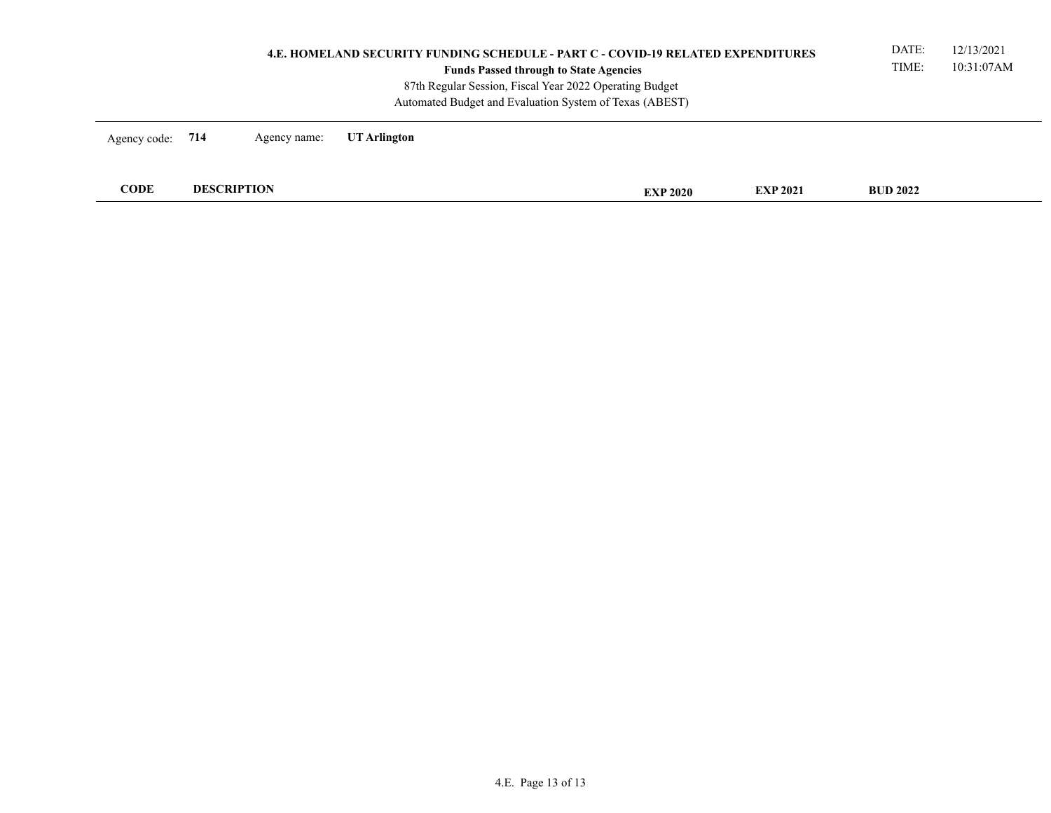|                  | <b>4.E. HOMELAND SECURITY FUNDING SCHEDULE - PART C - COVID-19 RELATED EXPENDITURES</b><br><b>Funds Passed through to State Agencies</b><br>87th Regular Session, Fiscal Year 2022 Operating Budget<br>Automated Budget and Evaluation System of Texas (ABEST) |                    |              |  |                 |                 | DATE:<br>TIME:  | 12/13/2021<br>10:31:07AM |
|------------------|----------------------------------------------------------------------------------------------------------------------------------------------------------------------------------------------------------------------------------------------------------------|--------------------|--------------|--|-----------------|-----------------|-----------------|--------------------------|
| Agency code: 714 |                                                                                                                                                                                                                                                                | Agency name:       | UT Arlington |  |                 |                 |                 |                          |
| <b>CODE</b>      |                                                                                                                                                                                                                                                                | <b>DESCRIPTION</b> |              |  | <b>EXP 2020</b> | <b>EXP 2021</b> | <b>BUD 2022</b> |                          |
|                  |                                                                                                                                                                                                                                                                |                    |              |  |                 |                 |                 |                          |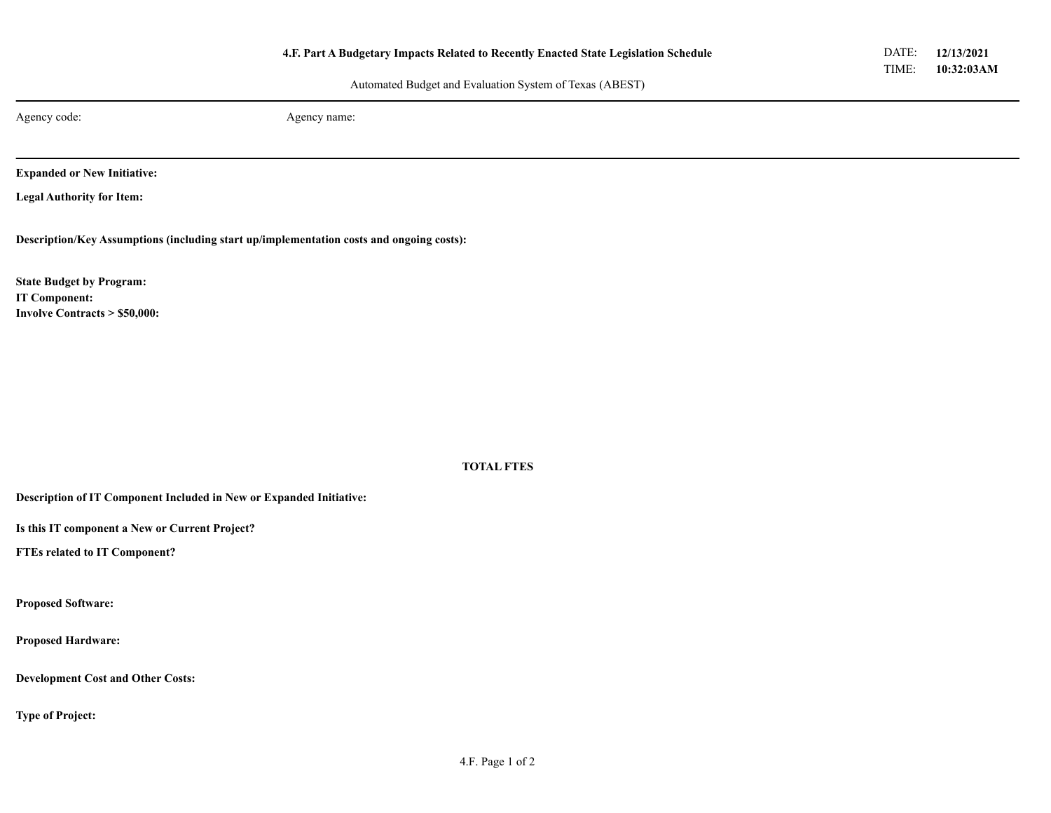Automated Budget and Evaluation System of Texas (ABEST)

Agency code: Agency name:

**Expanded or New Initiative:**

**Legal Authority for Item:**

**Description/Key Assumptions (including start up/implementation costs and ongoing costs):**

**State Budget by Program: IT Component: Involve Contracts > \$50,000:**

**TOTAL FTES**

**Description of IT Component Included in New or Expanded Initiative:**

**Is this IT component a New or Current Project?**

**FTEs related to IT Component?**

**Proposed Software:**

**Proposed Hardware:**

**Development Cost and Other Costs:**

**Type of Project:**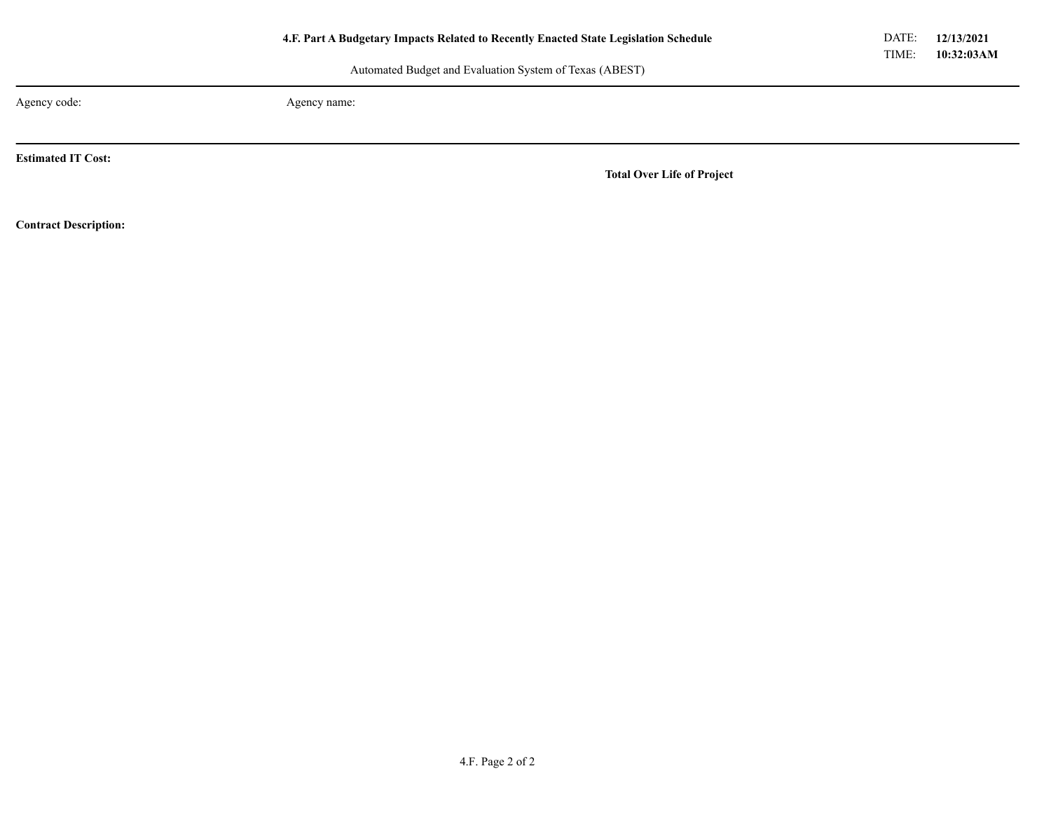Automated Budget and Evaluation System of Texas (ABEST)

Agency code: Agency name:

**Estimated IT Cost:**

**Total Over Life of Project**

**Contract Description:**